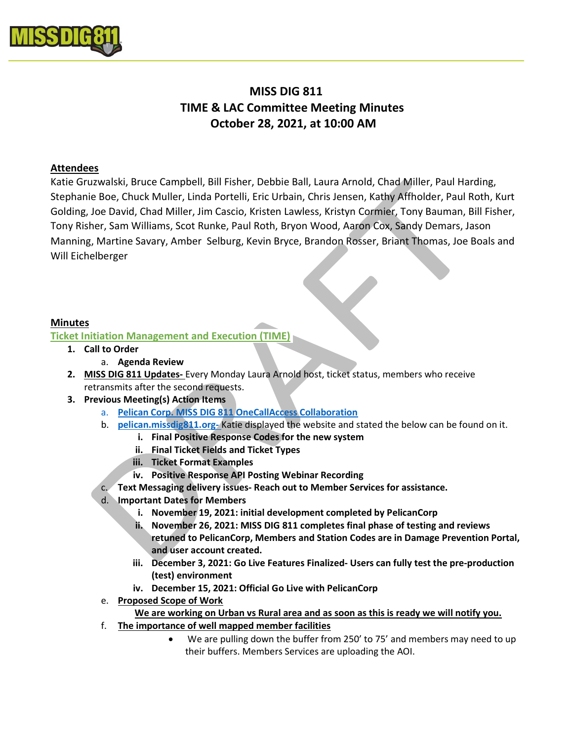

# MISS DIG 811 TIME & LAC Committee Meeting Minutes October 28, 2021, at 10:00 AM

### Attendees

Katie Gruzwalski, Bruce Campbell, Bill Fisher, Debbie Ball, Laura Arnold, Chad Miller, Paul Harding, Stephanie Boe, Chuck Muller, Linda Portelli, Eric Urbain, Chris Jensen, Kathy Affholder, Paul Roth, Kurt Golding, Joe David, Chad Miller, Jim Cascio, Kristen Lawless, Kristyn Cormier, Tony Bauman, Bill Fisher, Tony Risher, Sam Williams, Scot Runke, Paul Roth, Bryon Wood, Aaron Cox, Sandy Demars, Jason Manning, Martine Savary, Amber Selburg, Kevin Bryce, Brandon Rosser, Briant Thomas, Joe Boals and Will Eichelberger

## Minutes

#### Ticket Initiation Management and Execution (TIME)

- 1. Call to Order
	- a. Agenda Review
- 2. MISS DIG 811 Updates- Every Monday Laura Arnold host, ticket status, members who receive retransmits after the second requests.
- 3. Previous Meeting(s) Action Items
	- a. Pelican Corp. MISS DIG 811 OneCallAccess Collaboration
	- b. pelican.missdig811.org- Katie displayed the website and stated the below can be found on it.
		- i. Final Positive Response Codes for the new system
		- ii. Final Ticket Fields and Ticket Types
		- iii. Ticket Format Examples
		- iv. Positive Response API Posting Webinar Recording
	- c. Text Messaging delivery issues- Reach out to Member Services for assistance.
	- d. Important Dates for Members
		- i. November 19, 2021: initial development completed by PelicanCorp
		- ii. November 26, 2021: MISS DIG 811 completes final phase of testing and reviews retuned to PelicanCorp, Members and Station Codes are in Damage Prevention Portal, and user account created.
		- iii. December 3, 2021: Go Live Features Finalized- Users can fully test the pre-production (test) environment
		- iv. December 15, 2021: Official Go Live with PelicanCorp
	- e. Proposed Scope of Work
		- We are working on Urban vs Rural area and as soon as this is ready we will notify you.
	- f. The importance of well mapped member facilities
		- We are pulling down the buffer from 250' to 75' and members may need to up their buffers. Members Services are uploading the AOI.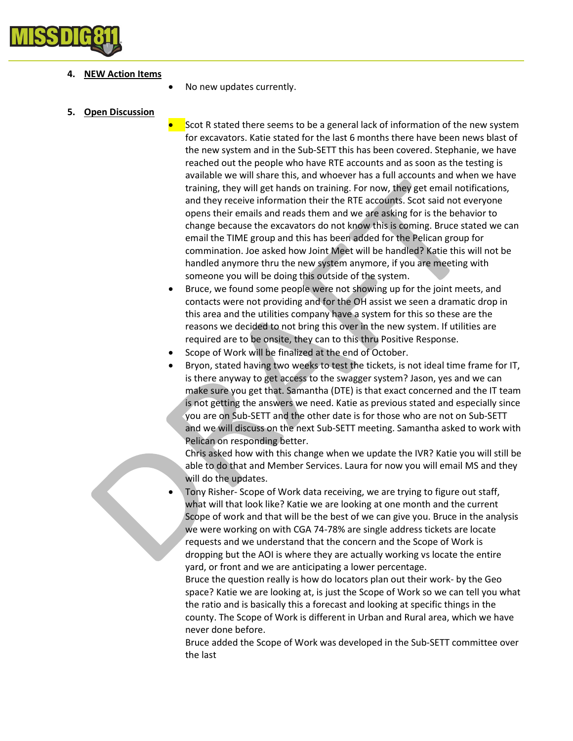

#### 4. NEW Action Items

No new updates currently.

#### 5. Open Discussion

 Scot R stated there seems to be a general lack of information of the new system for excavators. Katie stated for the last 6 months there have been news blast of the new system and in the Sub-SETT this has been covered. Stephanie, we have reached out the people who have RTE accounts and as soon as the testing is available we will share this, and whoever has a full accounts and when we have training, they will get hands on training. For now, they get email notifications, and they receive information their the RTE accounts. Scot said not everyone opens their emails and reads them and we are asking for is the behavior to change because the excavators do not know this is coming. Bruce stated we can email the TIME group and this has been added for the Pelican group for commination. Joe asked how Joint Meet will be handled? Katie this will not be handled anymore thru the new system anymore, if you are meeting with someone you will be doing this outside of the system.

 Bruce, we found some people were not showing up for the joint meets, and contacts were not providing and for the OH assist we seen a dramatic drop in this area and the utilities company have a system for this so these are the reasons we decided to not bring this over in the new system. If utilities are required are to be onsite, they can to this thru Positive Response.

- Scope of Work will be finalized at the end of October.
- Bryon, stated having two weeks to test the tickets, is not ideal time frame for IT, is there anyway to get access to the swagger system? Jason, yes and we can make sure you get that. Samantha (DTE) is that exact concerned and the IT team is not getting the answers we need. Katie as previous stated and especially since you are on Sub-SETT and the other date is for those who are not on Sub-SETT and we will discuss on the next Sub-SETT meeting. Samantha asked to work with Pelican on responding better.

Chris asked how with this change when we update the IVR? Katie you will still be able to do that and Member Services. Laura for now you will email MS and they will do the updates.

 Tony Risher- Scope of Work data receiving, we are trying to figure out staff, what will that look like? Katie we are looking at one month and the current Scope of work and that will be the best of we can give you. Bruce in the analysis we were working on with CGA 74-78% are single address tickets are locate requests and we understand that the concern and the Scope of Work is dropping but the AOI is where they are actually working vs locate the entire yard, or front and we are anticipating a lower percentage.

Bruce the question really is how do locators plan out their work- by the Geo space? Katie we are looking at, is just the Scope of Work so we can tell you what the ratio and is basically this a forecast and looking at specific things in the county. The Scope of Work is different in Urban and Rural area, which we have never done before.

Bruce added the Scope of Work was developed in the Sub-SETT committee over the last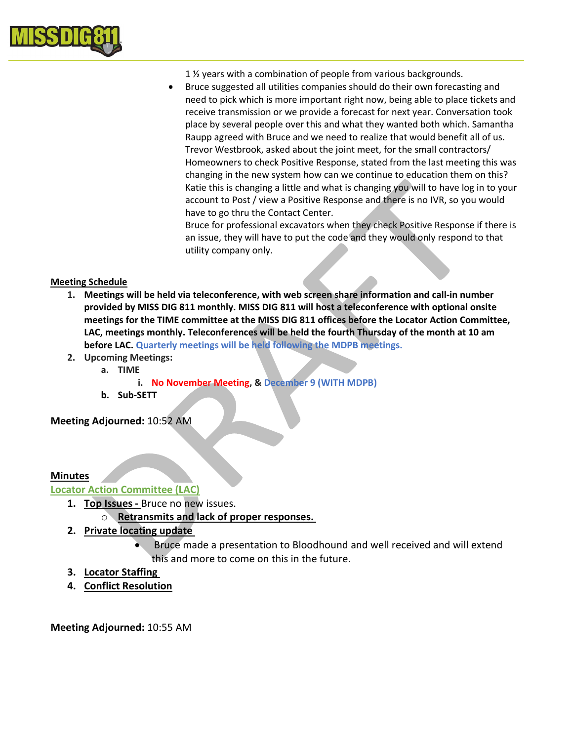

- 1 ½ years with a combination of people from various backgrounds.
- Bruce suggested all utilities companies should do their own forecasting and need to pick which is more important right now, being able to place tickets and receive transmission or we provide a forecast for next year. Conversation took place by several people over this and what they wanted both which. Samantha Raupp agreed with Bruce and we need to realize that would benefit all of us. Trevor Westbrook, asked about the joint meet, for the small contractors/ Homeowners to check Positive Response, stated from the last meeting this was changing in the new system how can we continue to education them on this? Katie this is changing a little and what is changing you will to have log in to your account to Post / view a Positive Response and there is no IVR, so you would have to go thru the Contact Center.

Bruce for professional excavators when they check Positive Response if there is an issue, they will have to put the code and they would only respond to that utility company only.

#### Meeting Schedule

- 1. Meetings will be held via teleconference, with web screen share information and call-in number provided by MISS DIG 811 monthly. MISS DIG 811 will host a teleconference with optional onsite meetings for the TIME committee at the MISS DIG 811 offices before the Locator Action Committee, LAC, meetings monthly. Teleconferences will be held the fourth Thursday of the month at 10 am before LAC. Quarterly meetings will be held following the MDPB meetings.
- 2. Upcoming Meetings:
	- a. TIME
		- i. No November Meeting, & December 9 (WITH MDPB)
	- b. Sub-SETT

Meeting Adjourned: 10:52 AM

#### Minutes

# Locator Action Committee (LAC)

- 1. Top Issues Bruce no new issues.
	- o Retransmits and lack of proper responses.
- 2. Private locating update
	- Bruce made a presentation to Bloodhound and well received and will extend this and more to come on this in the future.
- 3. Locator Staffing
- 4. Conflict Resolution

Meeting Adjourned: 10:55 AM